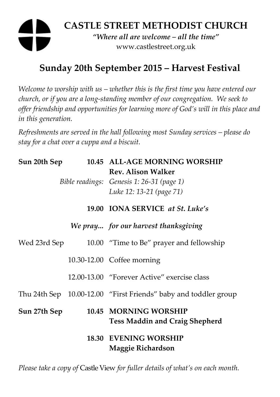# **CASTLE STREET METHODIST CHURCH**  *"Where all are welcome – all the time"*  www.castlestreet.org.uk

## **Sunday 20th September 2015 – Harvest Festival**

*Welcome to worship with us – whether this is the first time you have entered our church, or if you are a long-standing member of our congregation. We seek to offer friendship and opportunities for learning more of God's will in this place and in this generation.* 

*Refreshments are served in the hall following most Sunday services – please do stay for a chat over a cuppa and a biscuit.* 

| Sun 20th Sep |  | 10.45 ALL-AGE MORNING WORSHIP                                   |
|--------------|--|-----------------------------------------------------------------|
|              |  | <b>Rev. Alison Walker</b>                                       |
|              |  | Bible readings: Genesis 1: 26-31 (page 1)                       |
|              |  | Luke 12: 13-21 (page 71)                                        |
|              |  | 19.00 IONA SERVICE at St. Luke's                                |
|              |  | We pray for our harvest thanksgiving                            |
| Wed 23rd Sep |  | 10.00 "Time to Be" prayer and fellowship                        |
|              |  | 10.30-12.00 Coffee morning                                      |
|              |  | 12.00-13.00 "Forever Active" exercise class                     |
|              |  | Thu 24th Sep 10.00-12.00 "First Friends" baby and toddler group |
| Sun 27th Sep |  | 10.45 MORNING WORSHIP                                           |
|              |  | <b>Tess Maddin and Craig Shepherd</b>                           |
|              |  | <b>18.30 EVENING WORSHIP</b>                                    |
|              |  | <b>Maggie Richardson</b>                                        |

*Please take a copy of* Castle View *for fuller details of what's on each month.*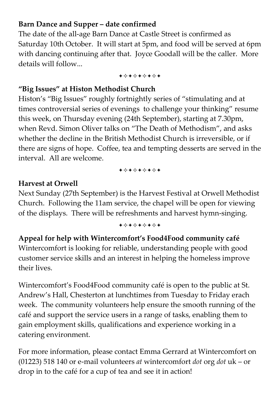### **Barn Dance and Supper – date confirmed**

The date of the all-age Barn Dance at Castle Street is confirmed as Saturday 10th October. It will start at 5pm, and food will be served at 6pm with dancing continuing after that. Joyce Goodall will be the caller. More details will follow...

+\*\*\*\*\*\*\*

#### **"Big Issues" at Histon Methodist Church**

Histon's "Big Issues" roughly fortnightly series of "stimulating and at times controversial series of evenings to challenge your thinking" resume this week, on Thursday evening (24th September), starting at 7.30pm, when Revd. Simon Oliver talks on "The Death of Methodism", and asks whether the decline in the British Methodist Church is irreversible, or if there are signs of hope. Coffee, tea and tempting desserts are served in the interval. All are welcome.

+\*+\*\*\*\*+

#### **Harvest at Orwell**

Next Sunday (27th September) is the Harvest Festival at Orwell Methodist Church. Following the 11am service, the chapel will be open for viewing of the displays. There will be refreshments and harvest hymn-singing.

+\*\*\*\*\*\*\*

### **Appeal for help with Wintercomfort's Food4Food community café**  Wintercomfort is looking for reliable, understanding people with good customer service skills and an interest in helping the homeless improve

their lives.

Wintercomfort's Food4Food community café is open to the public at St. Andrew's Hall, Chesterton at lunchtimes from Tuesday to Friday erach week. The community volunteers help ensure the smooth running of the café and support the service users in a range of tasks, enabling them to gain employment skills, qualifications and experience working in a catering environment.

For more information, please contact Emma Gerrard at Wintercomfort on (01223) 518 140 or e-mail volunteers *at* wintercomfort *dot* org *dot* uk – or drop in to the café for a cup of tea and see it in action!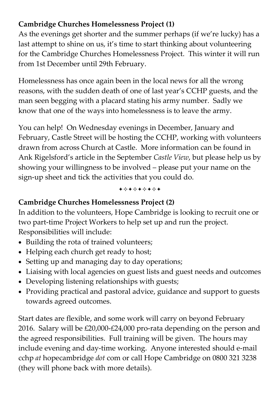### **Cambridge Churches Homelessness Project (1)**

As the evenings get shorter and the summer perhaps (if we're lucky) has a last attempt to shine on us, it's time to start thinking about volunteering for the Cambridge Churches Homelessness Project. This winter it will run from 1st December until 29th February.

Homelessness has once again been in the local news for all the wrong reasons, with the sudden death of one of last year's CCHP guests, and the man seen begging with a placard stating his army number. Sadly we know that one of the ways into homelessness is to leave the army.

You can help! On Wednesday evenings in December, January and February, Castle Street will be hosting the CCHP, working with volunteers drawn from across Church at Castle. More information can be found in Ank Rigelsford's article in the September *Castle View*, but please help us by showing your willingness to be involved – please put your name on the sign-up sheet and tick the activities that you could do.

+\*\*\*\*\*\*\*

#### **Cambridge Churches Homelessness Project (2)**

In addition to the volunteers, Hope Cambridge is looking to recruit one or two part-time Project Workers to help set up and run the project. Responsibilities will include:

- Building the rota of trained volunteers;
- Helping each church get ready to host;
- Setting up and managing day to day operations;
- Liaising with local agencies on guest lists and guest needs and outcomes
- Developing listening relationships with guests;
- Providing practical and pastoral advice, guidance and support to guests towards agreed outcomes.

Start dates are flexible, and some work will carry on beyond February 2016. Salary will be £20,000-£24,000 pro-rata depending on the person and the agreed responsibilities. Full training will be given. The hours may include evening and day-time working. Anyone interested should e-mail cchp *at* hopecambridge *dot* com or call Hope Cambridge on 0800 321 3238 (they will phone back with more details).